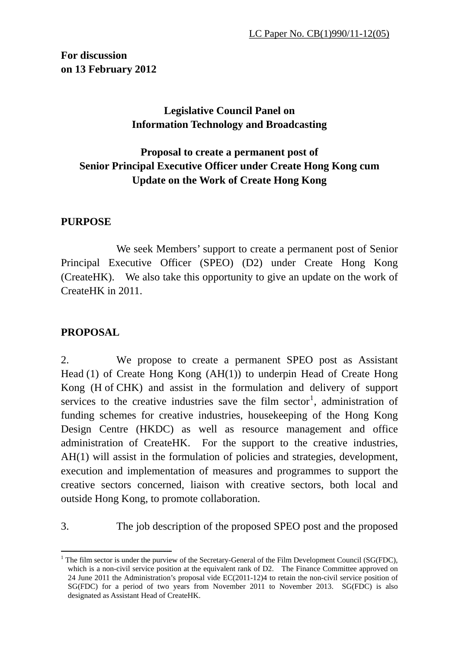**For discussion on 13 February 2012** 

# **Legislative Council Panel on Information Technology and Broadcasting**

# **Proposal to create a permanent post of Senior Principal Executive Officer under Create Hong Kong cum Update on the Work of Create Hong Kong**

### **PURPOSE**

We seek Members' support to create a permanent post of Senior Principal Executive Officer (SPEO) (D2) under Create Hong Kong (CreateHK). We also take this opportunity to give an update on the work of CreateHK in 2011.

## **PROPOSAL**

2. We propose to create a permanent SPEO post as Assistant Head (1) of Create Hong Kong (AH(1)) to underpin Head of Create Hong Kong (H of CHK) and assist in the formulation and delivery of support services to the creative industries save the film sector<sup>[1](#page-0-0)</sup>, administration of funding schemes for creative industries, housekeeping of the Hong Kong Design Centre (HKDC) as well as resource management and office administration of CreateHK. For the support to the creative industries, AH(1) will assist in the formulation of policies and strategies, development, execution and implementation of measures and programmes to support the creative sectors concerned, liaison with creative sectors, both local and outside Hong Kong, to promote collaboration.

3. The job description of the proposed SPEO post and the proposed

<span id="page-0-0"></span><sup>1</sup> <sup>1</sup> The film sector is under the purview of the Secretary-General of the Film Development Council (SG(FDC), which is a non-civil service position at the equivalent rank of D2. The Finance Committee approved on 24 June 2011 the Administration's proposal vide EC(2011-12)4 to retain the non-civil service position of SG(FDC) for a period of two years from November 2011 to November 2013. SG(FDC) is also designated as Assistant Head of CreateHK.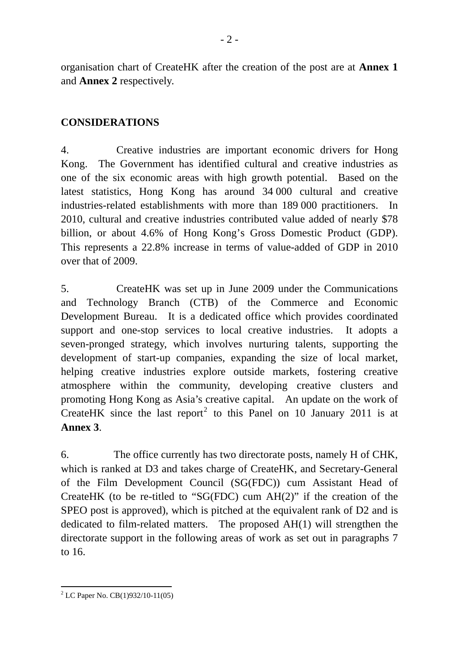organisation chart of CreateHK after the creation of the post are at **Annex 1** and **Annex 2** respectively.

### **CONSIDERATIONS**

4. Creative industries are important economic drivers for Hong Kong. The Government has identified cultural and creative industries as one of the six economic areas with high growth potential. Based on the latest statistics, Hong Kong has around 34 000 cultural and creative industries-related establishments with more than 189 000 practitioners. In 2010, cultural and creative industries contributed value added of nearly \$78 billion, or about 4.6% of Hong Kong's Gross Domestic Product (GDP). This represents a 22.8% increase in terms of value-added of GDP in 2010 over that of 2009.

5. CreateHK was set up in June 2009 under the Communications and Technology Branch (CTB) of the Commerce and Economic Development Bureau. It is a dedicated office which provides coordinated support and one-stop services to local creative industries. It adopts a seven-pronged strategy, which involves nurturing talents, supporting the development of start-up companies, expanding the size of local market, helping creative industries explore outside markets, fostering creative atmosphere within the community, developing creative clusters and promoting Hong Kong as Asia's creative capital. An update on the work of CreateHK since the last report<sup>[2](#page-1-0)</sup> to this Panel on 10 January 2011 is at **Annex 3**.

6. The office currently has two directorate posts, namely H of CHK, which is ranked at D3 and takes charge of CreateHK, and Secretary-General of the Film Development Council (SG(FDC)) cum Assistant Head of CreateHK (to be re-titled to "SG(FDC) cum AH(2)" if the creation of the SPEO post is approved), which is pitched at the equivalent rank of D2 and is dedicated to film-related matters. The proposed AH(1) will strengthen the directorate support in the following areas of work as set out in paragraphs 7 to 16.

<span id="page-1-0"></span><sup>&</sup>lt;u>.</u> <sup>2</sup> LC Paper No. CB(1)932/10-11(05)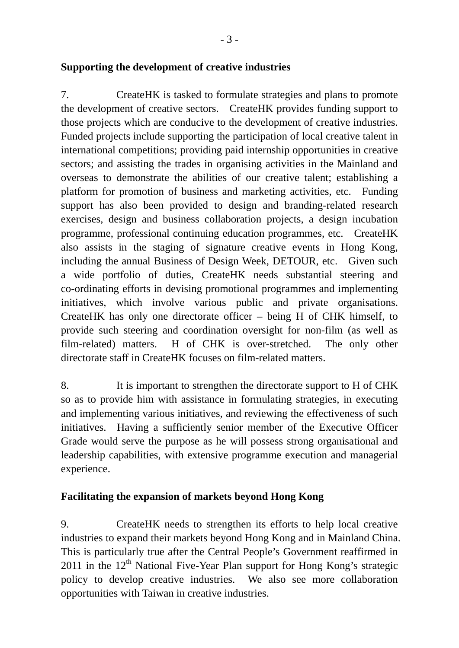## **Supporting the development of creative industries**

7. CreateHK is tasked to formulate strategies and plans to promote the development of creative sectors. CreateHK provides funding support to those projects which are conducive to the development of creative industries. Funded projects include supporting the participation of local creative talent in international competitions; providing paid internship opportunities in creative sectors; and assisting the trades in organising activities in the Mainland and overseas to demonstrate the abilities of our creative talent; establishing a platform for promotion of business and marketing activities, etc. Funding support has also been provided to design and branding-related research exercises, design and business collaboration projects, a design incubation programme, professional continuing education programmes, etc. CreateHK also assists in the staging of signature creative events in Hong Kong, including the annual Business of Design Week, DETOUR, etc. Given such a wide portfolio of duties, CreateHK needs substantial steering and co-ordinating efforts in devising promotional programmes and implementing initiatives, which involve various public and private organisations. CreateHK has only one directorate officer – being H of CHK himself, to provide such steering and coordination oversight for non-film (as well as film-related) matters. H of CHK is over-stretched. The only other directorate staff in CreateHK focuses on film-related matters.

8. It is important to strengthen the directorate support to H of CHK so as to provide him with assistance in formulating strategies, in executing and implementing various initiatives, and reviewing the effectiveness of such initiatives. Having a sufficiently senior member of the Executive Officer Grade would serve the purpose as he will possess strong organisational and leadership capabilities, with extensive programme execution and managerial experience.

## **Facilitating the expansion of markets beyond Hong Kong**

9. CreateHK needs to strengthen its efforts to help local creative industries to expand their markets beyond Hong Kong and in Mainland China. This is particularly true after the Central People's Government reaffirmed in 2011 in the  $12<sup>th</sup>$  National Five-Year Plan support for Hong Kong's strategic policy to develop creative industries. We also see more collaboration opportunities with Taiwan in creative industries.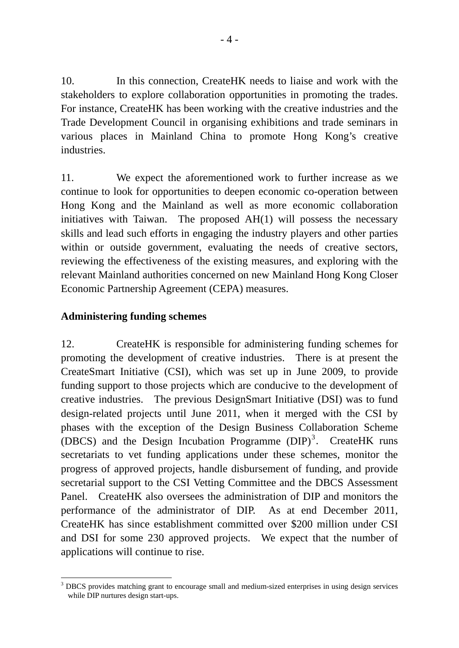10. In this connection, CreateHK needs to liaise and work with the stakeholders to explore collaboration opportunities in promoting the trades. For instance, CreateHK has been working with the creative industries and the Trade Development Council in organising exhibitions and trade seminars in various places in Mainland China to promote Hong Kong's creative industries.

11. We expect the aforementioned work to further increase as we continue to look for opportunities to deepen economic co-operation between Hong Kong and the Mainland as well as more economic collaboration initiatives with Taiwan. The proposed AH(1) will possess the necessary skills and lead such efforts in engaging the industry players and other parties within or outside government, evaluating the needs of creative sectors, reviewing the effectiveness of the existing measures, and exploring with the relevant Mainland authorities concerned on new Mainland Hong Kong Closer Economic Partnership Agreement (CEPA) measures.

## **Administering funding schemes**

12. CreateHK is responsible for administering funding schemes for promoting the development of creative industries. There is at present the CreateSmart Initiative (CSI), which was set up in June 2009, to provide funding support to those projects which are conducive to the development of creative industries. The previous DesignSmart Initiative (DSI) was to fund design-related projects until June 2011, when it merged with the CSI by phases with the exception of the Design Business Collaboration Scheme (DBCS) and the Design Incubation Programme  $(DIP)^3$  $(DIP)^3$ . CreateHK runs secretariats to vet funding applications under these schemes, monitor the progress of approved projects, handle disbursement of funding, and provide secretarial support to the CSI Vetting Committee and the DBCS Assessment Panel. CreateHK also oversees the administration of DIP and monitors the performance of the administrator of DIP. As at end December 2011, CreateHK has since establishment committed over \$200 million under CSI and DSI for some 230 approved projects. We expect that the number of applications will continue to rise.

<span id="page-3-0"></span><sup>1</sup> 3 DBCS provides matching grant to encourage small and medium-sized enterprises in using design services while DIP nurtures design start-ups.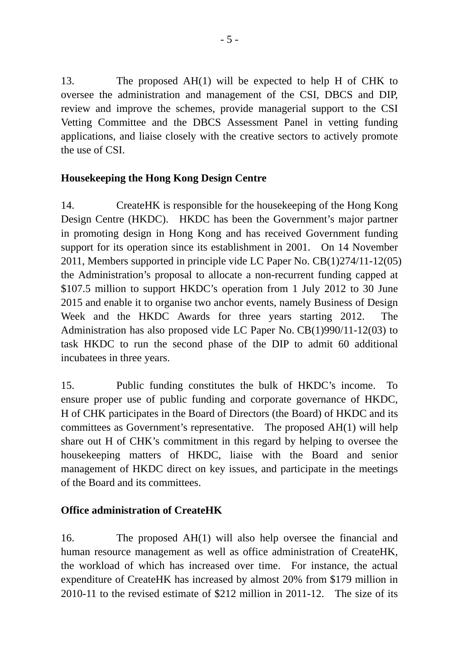13. The proposed AH(1) will be expected to help H of CHK to oversee the administration and management of the CSI, DBCS and DIP, review and improve the schemes, provide managerial support to the CSI Vetting Committee and the DBCS Assessment Panel in vetting funding applications, and liaise closely with the creative sectors to actively promote the use of CSI.

## **Housekeeping the Hong Kong Design Centre**

14. CreateHK is responsible for the housekeeping of the Hong Kong Design Centre (HKDC). HKDC has been the Government's major partner in promoting design in Hong Kong and has received Government funding support for its operation since its establishment in 2001. On 14 November 2011, Members supported in principle vide LC Paper No. CB(1)274/11-12(05) the Administration's proposal to allocate a non-recurrent funding capped at \$107.5 million to support HKDC's operation from 1 July 2012 to 30 June 2015 and enable it to organise two anchor events, namely Business of Design Week and the HKDC Awards for three years starting 2012. The Administration has also proposed vide LC Paper No. CB(1)990/11-12(03) to task HKDC to run the second phase of the DIP to admit 60 additional incubatees in three years.

15. Public funding constitutes the bulk of HKDC's income. To ensure proper use of public funding and corporate governance of HKDC, H of CHK participates in the Board of Directors (the Board) of HKDC and its committees as Government's representative. The proposed AH(1) will help share out H of CHK's commitment in this regard by helping to oversee the housekeeping matters of HKDC, liaise with the Board and senior management of HKDC direct on key issues, and participate in the meetings of the Board and its committees.

# **Office administration of CreateHK**

16. The proposed AH(1) will also help oversee the financial and human resource management as well as office administration of CreateHK, the workload of which has increased over time. For instance, the actual expenditure of CreateHK has increased by almost 20% from \$179 million in 2010-11 to the revised estimate of \$212 million in 2011-12. The size of its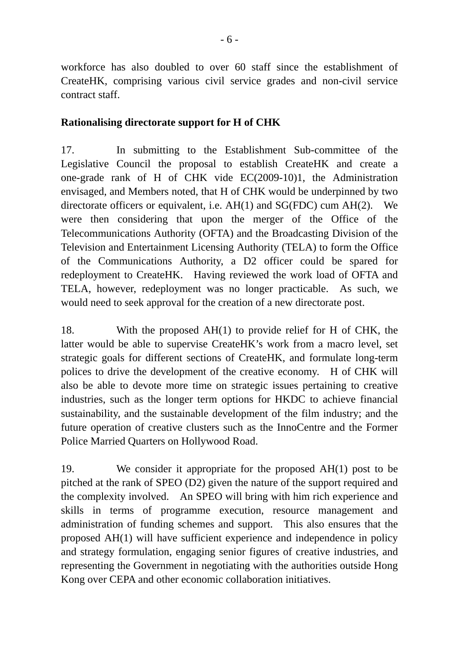workforce has also doubled to over 60 staff since the establishment of CreateHK, comprising various civil service grades and non-civil service contract staff.

### **Rationalising directorate support for H of CHK**

17. In submitting to the Establishment Sub-committee of the Legislative Council the proposal to establish CreateHK and create a one-grade rank of H of CHK vide EC(2009-10)1, the Administration envisaged, and Members noted, that H of CHK would be underpinned by two directorate officers or equivalent, i.e. AH(1) and SG(FDC) cum AH(2). We were then considering that upon the merger of the Office of the Telecommunications Authority (OFTA) and the Broadcasting Division of the Television and Entertainment Licensing Authority (TELA) to form the Office of the Communications Authority, a D2 officer could be spared for redeployment to CreateHK. Having reviewed the work load of OFTA and TELA, however, redeployment was no longer practicable. As such, we would need to seek approval for the creation of a new directorate post.

18. With the proposed AH(1) to provide relief for H of CHK, the latter would be able to supervise CreateHK's work from a macro level, set strategic goals for different sections of CreateHK, and formulate long-term polices to drive the development of the creative economy. H of CHK will also be able to devote more time on strategic issues pertaining to creative industries, such as the longer term options for HKDC to achieve financial sustainability, and the sustainable development of the film industry; and the future operation of creative clusters such as the InnoCentre and the Former Police Married Quarters on Hollywood Road.

19. We consider it appropriate for the proposed AH(1) post to be pitched at the rank of SPEO (D2) given the nature of the support required and the complexity involved. An SPEO will bring with him rich experience and skills in terms of programme execution, resource management and administration of funding schemes and support. This also ensures that the proposed AH(1) will have sufficient experience and independence in policy and strategy formulation, engaging senior figures of creative industries, and representing the Government in negotiating with the authorities outside Hong Kong over CEPA and other economic collaboration initiatives.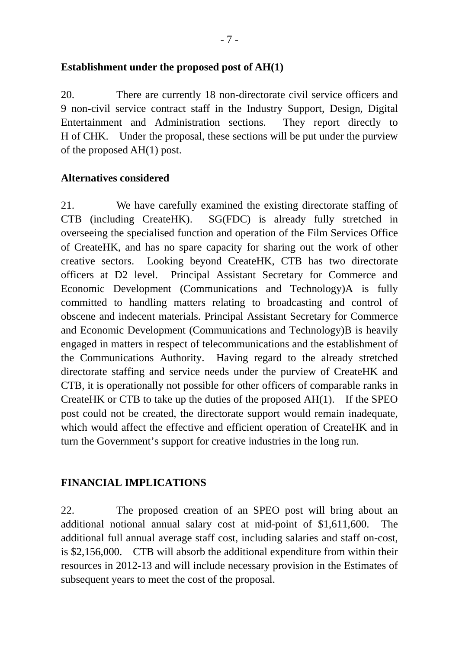### **Establishment under the proposed post of AH(1)**

20. There are currently 18 non-directorate civil service officers and 9 non-civil service contract staff in the Industry Support, Design, Digital Entertainment and Administration sections. They report directly to H of CHK. Under the proposal, these sections will be put under the purview of the proposed AH(1) post.

### **Alternatives considered**

21. We have carefully examined the existing directorate staffing of CTB (including CreateHK). SG(FDC) is already fully stretched in overseeing the specialised function and operation of the Film Services Office of CreateHK, and has no spare capacity for sharing out the work of other creative sectors. Looking beyond CreateHK, CTB has two directorate officers at D2 level. Principal Assistant Secretary for Commerce and Economic Development (Communications and Technology)A is fully committed to handling matters relating to broadcasting and control of obscene and indecent materials. Principal Assistant Secretary for Commerce and Economic Development (Communications and Technology)B is heavily engaged in matters in respect of telecommunications and the establishment of the Communications Authority. Having regard to the already stretched directorate staffing and service needs under the purview of CreateHK and CTB, it is operationally not possible for other officers of comparable ranks in CreateHK or CTB to take up the duties of the proposed AH(1). If the SPEO post could not be created, the directorate support would remain inadequate, which would affect the effective and efficient operation of CreateHK and in turn the Government's support for creative industries in the long run.

### **FINANCIAL IMPLICATIONS**

22. The proposed creation of an SPEO post will bring about an additional notional annual salary cost at mid-point of \$1,611,600. The additional full annual average staff cost, including salaries and staff on-cost, is \$2,156,000. CTB will absorb the additional expenditure from within their resources in 2012-13 and will include necessary provision in the Estimates of subsequent years to meet the cost of the proposal.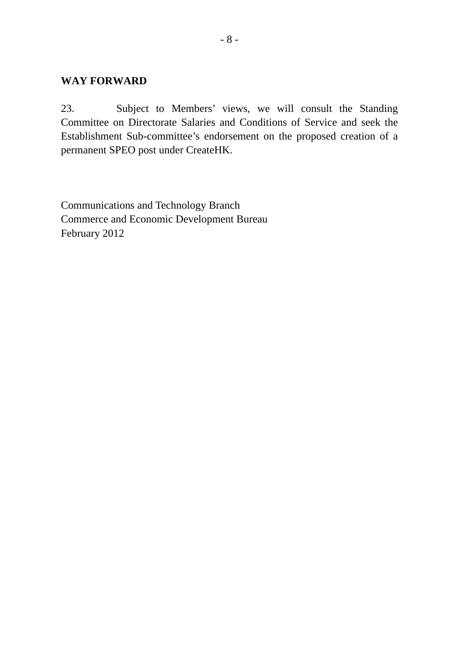### **WAY FORWARD**

23. Subject to Members' views, we will consult the Standing Committee on Directorate Salaries and Conditions of Service and seek the Establishment Sub-committee's endorsement on the proposed creation of a permanent SPEO post under CreateHK.

Communications and Technology Branch Commerce and Economic Development Bureau February 2012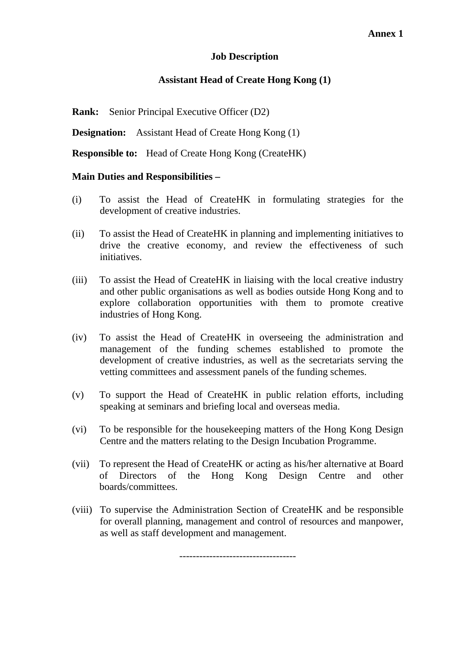#### **Job Description**

#### **Assistant Head of Create Hong Kong (1)**

**Rank:** Senior Principal Executive Officer (D2)

**Designation:** Assistant Head of Create Hong Kong (1)

**Responsible to:** Head of Create Hong Kong (CreateHK)

#### **Main Duties and Responsibilities –**

- (i) To assist the Head of CreateHK in formulating strategies for the development of creative industries.
- (ii) To assist the Head of CreateHK in planning and implementing initiatives to drive the creative economy, and review the effectiveness of such initiatives.
- (iii) To assist the Head of CreateHK in liaising with the local creative industry and other public organisations as well as bodies outside Hong Kong and to explore collaboration opportunities with them to promote creative industries of Hong Kong.
- (iv) To assist the Head of CreateHK in overseeing the administration and management of the funding schemes established to promote the development of creative industries, as well as the secretariats serving the vetting committees and assessment panels of the funding schemes.
- (v) To support the Head of CreateHK in public relation efforts, including speaking at seminars and briefing local and overseas media.
- (vi) To be responsible for the housekeeping matters of the Hong Kong Design Centre and the matters relating to the Design Incubation Programme.
- (vii) To represent the Head of CreateHK or acting as his/her alternative at Board of Directors of the Hong Kong Design Centre and other boards/committees.
- (viii) To supervise the Administration Section of CreateHK and be responsible for overall planning, management and control of resources and manpower, as well as staff development and management.

 $-$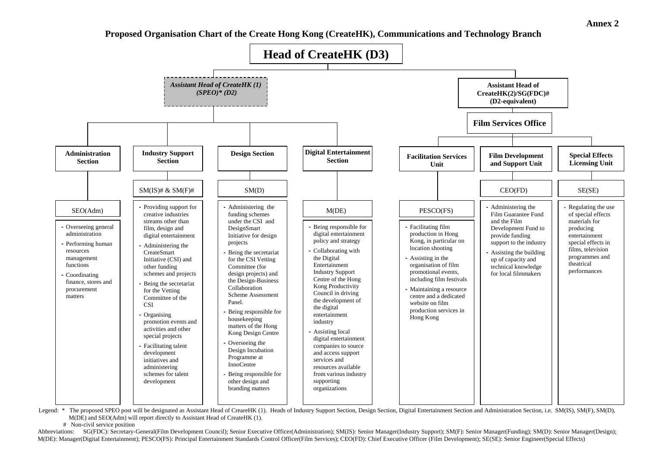**Proposed Organisation Chart of the Create Hong Kong (CreateHK), Communications and Technology Branch** 



Legend: \* The proposed SPEO post will be designated as Assistant Head of CreareHK (1). Heads of Industry Support Section, Design Section, Digital Entertainment Section and Administration Section, i.e. SM(IS), SM(F), SM(D), M(DE) and SEO(Adm) will report directly to Assistant Head of CreateHK (1).

# Non-civil service position

Abbreviations: SG(FDC): Secretary-General(Film Development Council); Senior Executive Officer(Administration); SM(IS): Senior Manager(Industry Support); SM(F): Senior Manager(Funding); SM(D): Senior Manager(Design); M(DE): Manager(Digital Entertainment); PESCO(FS): Principal Entertainment Standards Control Officer(Film Services); CEO(FD): Chief Executive Officer (Film Development); SE(SE): Senior Engineer(Special Effects)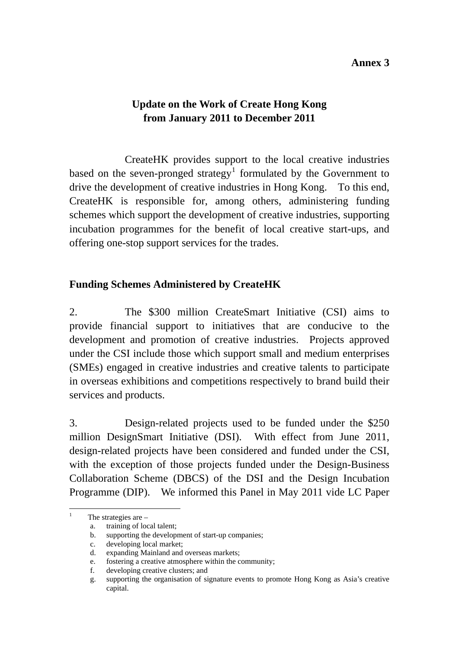#### **Annex 3**

# **Update on the Work of Create Hong Kong from January 2011 to December 2011**

 CreateHK provides support to the local creative industries based on the seven-pronged strategy<sup>[1](#page-10-0)</sup> formulated by the Government to drive the development of creative industries in Hong Kong. To this end, CreateHK is responsible for, among others, administering funding schemes which support the development of creative industries, supporting incubation programmes for the benefit of local creative start-ups, and offering one-stop support services for the trades.

### **Funding Schemes Administered by CreateHK**

2. The \$300 million CreateSmart Initiative (CSI) aims to provide financial support to initiatives that are conducive to the development and promotion of creative industries. Projects approved under the CSI include those which support small and medium enterprises (SMEs) engaged in creative industries and creative talents to participate in overseas exhibitions and competitions respectively to brand build their services and products.

3. Design-related projects used to be funded under the \$250 million DesignSmart Initiative (DSI). With effect from June 2011, design-related projects have been considered and funded under the CSI, with the exception of those projects funded under the Design-Business Collaboration Scheme (DBCS) of the DSI and the Design Incubation Programme (DIP). We informed this Panel in May 2011 vide LC Paper

<span id="page-10-0"></span>1 1

The strategies are –

a. training of local talent;

b. supporting the development of start-up companies;

c.developing local market;

d. expanding Mainland and overseas markets;

e. fostering a creative atmosphere within the community;

f. developing creative clusters; and

g. supporting the organisation of signature events to promote Hong Kong as Asia's creative capital.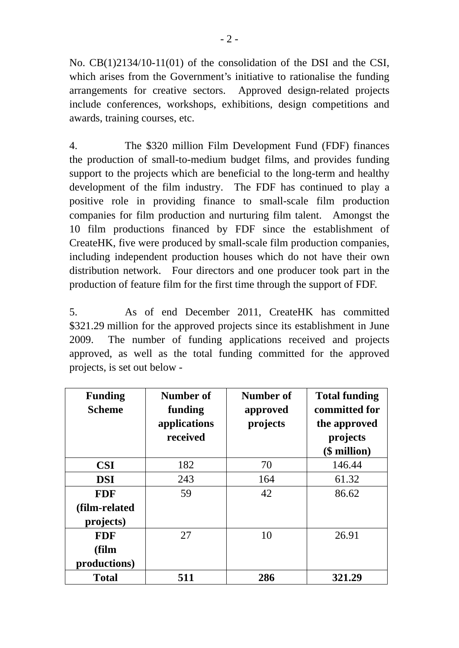No. CB(1)2134/10-11(01) of the consolidation of the DSI and the CSI, which arises from the Government's initiative to rationalise the funding arrangements for creative sectors. Approved design-related projects include conferences, workshops, exhibitions, design competitions and awards, training courses, etc.

4. The \$320 million Film Development Fund (FDF) finances the production of small-to-medium budget films, and provides funding support to the projects which are beneficial to the long-term and healthy development of the film industry. The FDF has continued to play a positive role in providing finance to small-scale film production companies for film production and nurturing film talent. Amongst the 10 film productions financed by FDF since the establishment of CreateHK, five were produced by small-scale film production companies, including independent production houses which do not have their own distribution network. Four directors and one producer took part in the production of feature film for the first time through the support of FDF.

5. As of end December 2011, CreateHK has committed \$321.29 million for the approved projects since its establishment in June 2009. The number of funding applications received and projects approved, as well as the total funding committed for the approved projects, is set out below -

| <b>Funding</b><br><b>Scheme</b> | Number of<br>funding<br>applications<br>received | Number of<br>approved<br>projects | <b>Total funding</b><br>committed for<br>the approved<br>projects<br>(\$ million) |
|---------------------------------|--------------------------------------------------|-----------------------------------|-----------------------------------------------------------------------------------|
| <b>CSI</b>                      | 182                                              | 70                                | 146.44                                                                            |
| <b>DSI</b>                      | 243                                              | 164                               | 61.32                                                                             |
| <b>FDF</b>                      | 59                                               | 42                                | 86.62                                                                             |
| (film-related                   |                                                  |                                   |                                                                                   |
| projects)                       |                                                  |                                   |                                                                                   |
| <b>FDF</b>                      | 27                                               | 10                                | 26.91                                                                             |
| (film                           |                                                  |                                   |                                                                                   |
| productions)                    |                                                  |                                   |                                                                                   |
| <b>Total</b>                    | 511                                              | 286                               | 321.29                                                                            |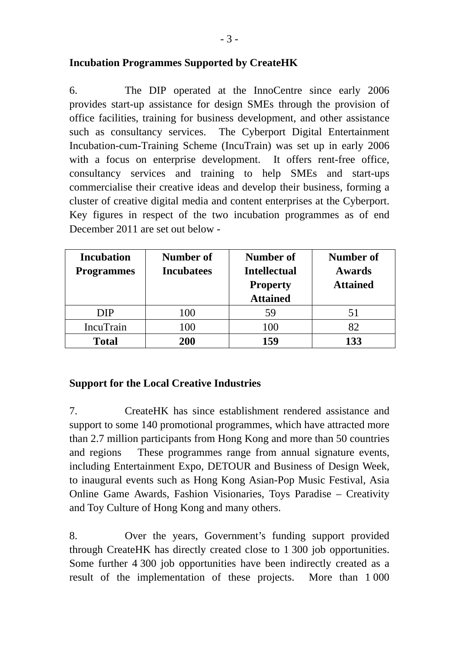### **Incubation Programmes Supported by CreateHK**

6. The DIP operated at the InnoCentre since early 2006 provides start-up assistance for design SMEs through the provision of office facilities, training for business development, and other assistance such as consultancy services. The Cyberport Digital Entertainment Incubation-cum-Training Scheme (IncuTrain) was set up in early 2006 with a focus on enterprise development. It offers rent-free office, consultancy services and training to help SMEs and start-ups commercialise their creative ideas and develop their business, forming a cluster of creative digital media and content enterprises at the Cyberport. Key figures in respect of the two incubation programmes as of end December 2011 are set out below -

| <b>Incubation</b><br><b>Programmes</b> | Number of<br><b>Incubatees</b> | Number of<br><b>Intellectual</b><br><b>Property</b><br><b>Attained</b> | Number of<br><b>Awards</b><br><b>Attained</b> |
|----------------------------------------|--------------------------------|------------------------------------------------------------------------|-----------------------------------------------|
| <b>DIP</b>                             | 100                            | 59                                                                     | 51                                            |
| <b>IncuTrain</b>                       | 100                            | 100                                                                    | 82                                            |
| <b>Total</b>                           | 200                            | 159                                                                    | 133                                           |

## **Support for the Local Creative Industries**

7. CreateHK has since establishment rendered assistance and support to some 140 promotional programmes, which have attracted more than 2.7 million participants from Hong Kong and more than 50 countries and regions These programmes range from annual signature events, including Entertainment Expo, DETOUR and Business of Design Week, to inaugural events such as Hong Kong Asian-Pop Music Festival, Asia Online Game Awards, Fashion Visionaries, Toys Paradise – Creativity and Toy Culture of Hong Kong and many others.

8. Over the years, Government's funding support provided through CreateHK has directly created close to 1 300 job opportunities. Some further 4 300 job opportunities have been indirectly created as a result of the implementation of these projects. More than 1 000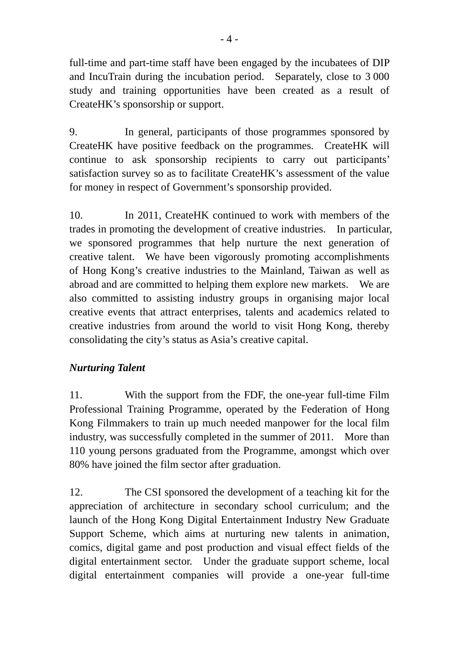full-time and part-time staff have been engaged by the incubatees of DIP and IncuTrain during the incubation period. Separately, close to 3 000 study and training opportunities have been created as a result of CreateHK's sponsorship or support.

9. In general, participants of those programmes sponsored by CreateHK have positive feedback on the programmes. CreateHK will continue to ask sponsorship recipients to carry out participants' satisfaction survey so as to facilitate CreateHK's assessment of the value for money in respect of Government's sponsorship provided.

10. In 2011, CreateHK continued to work with members of the trades in promoting the development of creative industries. In particular, we sponsored programmes that help nurture the next generation of creative talent. We have been vigorously promoting accomplishments of Hong Kong's creative industries to the Mainland, Taiwan as well as abroad and are committed to helping them explore new markets. We are also committed to assisting industry groups in organising major local creative events that attract enterprises, talents and academics related to creative industries from around the world to visit Hong Kong, thereby consolidating the city's status as Asia's creative capital.

## *Nurturing Talent*

11. With the support from the FDF, the one-year full-time Film Professional Training Programme, operated by the Federation of Hong Kong Filmmakers to train up much needed manpower for the local film industry, was successfully completed in the summer of 2011. More than 110 young persons graduated from the Programme, amongst which over 80% have joined the film sector after graduation.

12. The CSI sponsored the development of a teaching kit for the appreciation of architecture in secondary school curriculum; and the launch of the Hong Kong Digital Entertainment Industry New Graduate Support Scheme, which aims at nurturing new talents in animation, comics, digital game and post production and visual effect fields of the digital entertainment sector. Under the graduate support scheme, local digital entertainment companies will provide a one-year full-time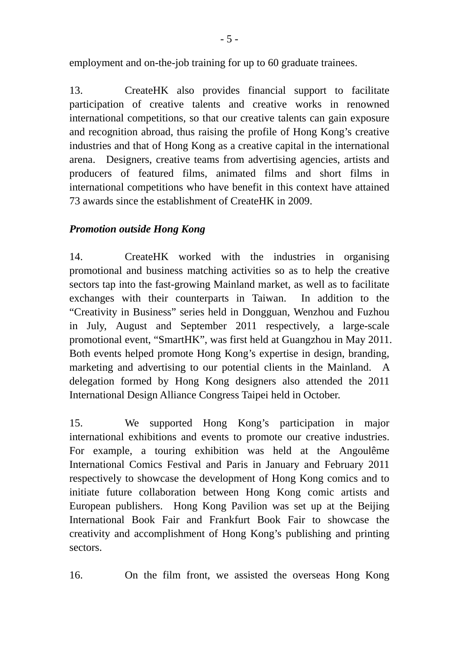employment and on-the-job training for up to 60 graduate trainees.

13. CreateHK also provides financial support to facilitate participation of creative talents and creative works in renowned international competitions, so that our creative talents can gain exposure and recognition abroad, thus raising the profile of Hong Kong's creative industries and that of Hong Kong as a creative capital in the international arena. Designers, creative teams from advertising agencies, artists and producers of featured films, animated films and short films in international competitions who have benefit in this context have attained 73 awards since the establishment of CreateHK in 2009.

## *Promotion outside Hong Kong*

14. CreateHK worked with the industries in organising promotional and business matching activities so as to help the creative sectors tap into the fast-growing Mainland market, as well as to facilitate exchanges with their counterparts in Taiwan. In addition to the "Creativity in Business" series held in Dongguan, Wenzhou and Fuzhou in July, August and September 2011 respectively, a large-scale promotional event, "SmartHK", was first held at Guangzhou in May 2011. Both events helped promote Hong Kong's expertise in design, branding, marketing and advertising to our potential clients in the Mainland. A delegation formed by Hong Kong designers also attended the 2011 International Design Alliance Congress Taipei held in October.

15. We supported Hong Kong's participation in major international exhibitions and events to promote our creative industries. For example, a touring exhibition was held at the Angoulême International Comics Festival and Paris in January and February 2011 respectively to showcase the development of Hong Kong comics and to initiate future collaboration between Hong Kong comic artists and European publishers. Hong Kong Pavilion was set up at the Beijing International Book Fair and Frankfurt Book Fair to showcase the creativity and accomplishment of Hong Kong's publishing and printing sectors.

16. On the film front, we assisted the overseas Hong Kong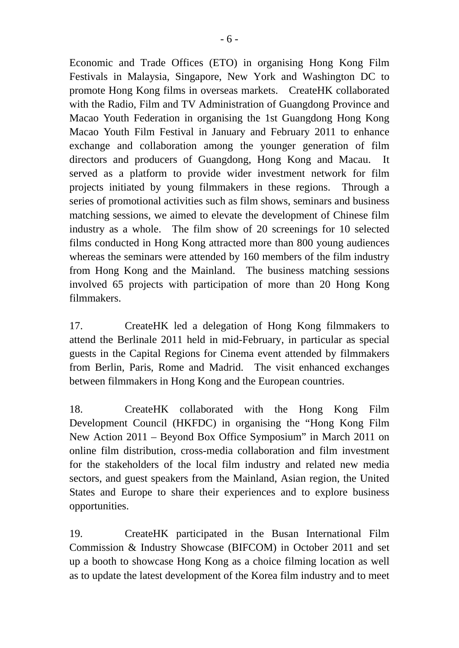Economic and Trade Offices (ETO) in organising Hong Kong Film Festivals in Malaysia, Singapore, New York and Washington DC to promote Hong Kong films in overseas markets. CreateHK collaborated with the Radio, Film and TV Administration of Guangdong Province and Macao Youth Federation in organising the 1st Guangdong Hong Kong Macao Youth Film Festival in January and February 2011 to enhance exchange and collaboration among the younger generation of film directors and producers of Guangdong, Hong Kong and Macau. It served as a platform to provide wider investment network for film projects initiated by young filmmakers in these regions. Through a series of promotional activities such as film shows, seminars and business matching sessions, we aimed to elevate the development of Chinese film industry as a whole. The film show of 20 screenings for 10 selected films conducted in Hong Kong attracted more than 800 young audiences whereas the seminars were attended by 160 members of the film industry from Hong Kong and the Mainland. The business matching sessions involved 65 projects with participation of more than 20 Hong Kong filmmakers.

17. CreateHK led a delegation of Hong Kong filmmakers to attend the Berlinale 2011 held in mid-February, in particular as special guests in the Capital Regions for Cinema event attended by filmmakers from Berlin, Paris, Rome and Madrid. The visit enhanced exchanges between filmmakers in Hong Kong and the European countries.

18. CreateHK collaborated with the Hong Kong Film Development Council (HKFDC) in organising the "Hong Kong Film New Action 2011 – Beyond Box Office Symposium" in March 2011 on online film distribution, cross-media collaboration and film investment for the stakeholders of the local film industry and related new media sectors, and guest speakers from the Mainland, Asian region, the United States and Europe to share their experiences and to explore business opportunities.

19. CreateHK participated in the Busan International Film Commission & Industry Showcase (BIFCOM) in October 2011 and set up a booth to showcase Hong Kong as a choice filming location as well as to update the latest development of the Korea film industry and to meet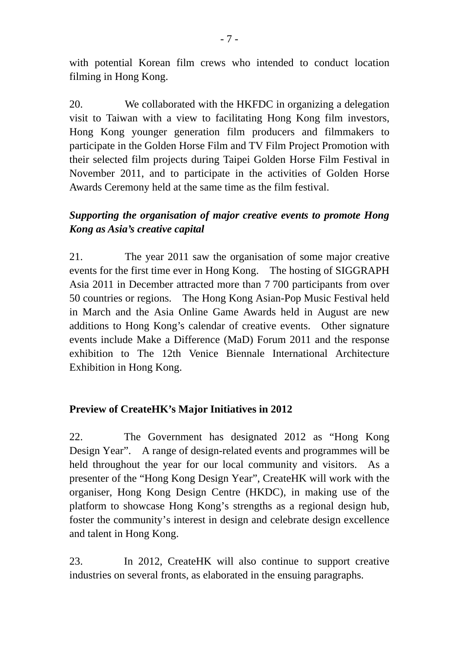with potential Korean film crews who intended to conduct location filming in Hong Kong.

20. We collaborated with the HKFDC in organizing a delegation visit to Taiwan with a view to facilitating Hong Kong film investors, Hong Kong younger generation film producers and filmmakers to participate in the Golden Horse Film and TV Film Project Promotion with their selected film projects during Taipei Golden Horse Film Festival in November 2011, and to participate in the activities of Golden Horse Awards Ceremony held at the same time as the film festival.

# *Supporting the organisation of major creative events to promote Hong Kong as Asia's creative capital*

21. The year 2011 saw the organisation of some major creative events for the first time ever in Hong Kong. The hosting of SIGGRAPH Asia 2011 in December attracted more than 7 700 participants from over 50 countries or regions. The Hong Kong Asian-Pop Music Festival held in March and the Asia Online Game Awards held in August are new additions to Hong Kong's calendar of creative events. Other signature events include Make a Difference (MaD) Forum 2011 and the response exhibition to The 12th Venice Biennale International Architecture Exhibition in Hong Kong.

## **Preview of CreateHK's Major Initiatives in 2012**

22. The Government has designated 2012 as "Hong Kong Design Year". A range of design-related events and programmes will be held throughout the year for our local community and visitors. As a presenter of the "Hong Kong Design Year", CreateHK will work with the organiser, Hong Kong Design Centre (HKDC), in making use of the platform to showcase Hong Kong's strengths as a regional design hub, foster the community's interest in design and celebrate design excellence and talent in Hong Kong.

23. In 2012, CreateHK will also continue to support creative industries on several fronts, as elaborated in the ensuing paragraphs.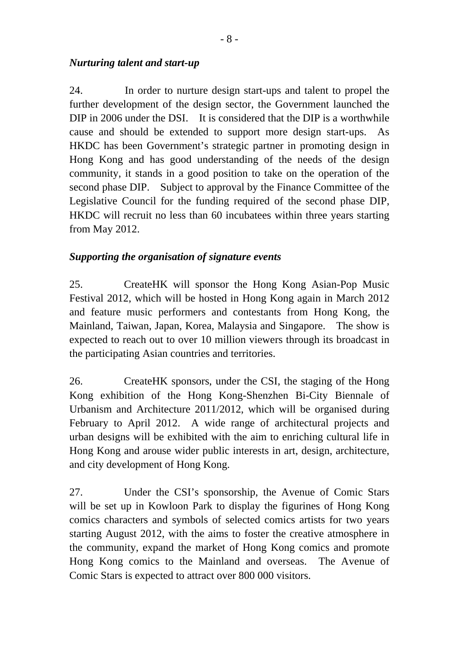### *Nurturing talent and start-up*

24. In order to nurture design start-ups and talent to propel the further development of the design sector, the Government launched the DIP in 2006 under the DSI. It is considered that the DIP is a worthwhile cause and should be extended to support more design start-ups. As HKDC has been Government's strategic partner in promoting design in Hong Kong and has good understanding of the needs of the design community, it stands in a good position to take on the operation of the second phase DIP. Subject to approval by the Finance Committee of the Legislative Council for the funding required of the second phase DIP, HKDC will recruit no less than 60 incubatees within three years starting from May 2012.

## *Supporting the organisation of signature events*

25. CreateHK will sponsor the Hong Kong Asian-Pop Music Festival 2012, which will be hosted in Hong Kong again in March 2012 and feature music performers and contestants from Hong Kong, the Mainland, Taiwan, Japan, Korea, Malaysia and Singapore. The show is expected to reach out to over 10 million viewers through its broadcast in the participating Asian countries and territories.

26. CreateHK sponsors, under the CSI, the staging of the Hong Kong exhibition of the Hong Kong-Shenzhen Bi-City Biennale of Urbanism and Architecture 2011/2012, which will be organised during February to April 2012. A wide range of architectural projects and urban designs will be exhibited with the aim to enriching cultural life in Hong Kong and arouse wider public interests in art, design, architecture, and city development of Hong Kong.

27. Under the CSI's sponsorship, the Avenue of Comic Stars will be set up in Kowloon Park to display the figurines of Hong Kong comics characters and symbols of selected comics artists for two years starting August 2012, with the aims to foster the creative atmosphere in the community, expand the market of Hong Kong comics and promote Hong Kong comics to the Mainland and overseas. The Avenue of Comic Stars is expected to attract over 800 000 visitors.